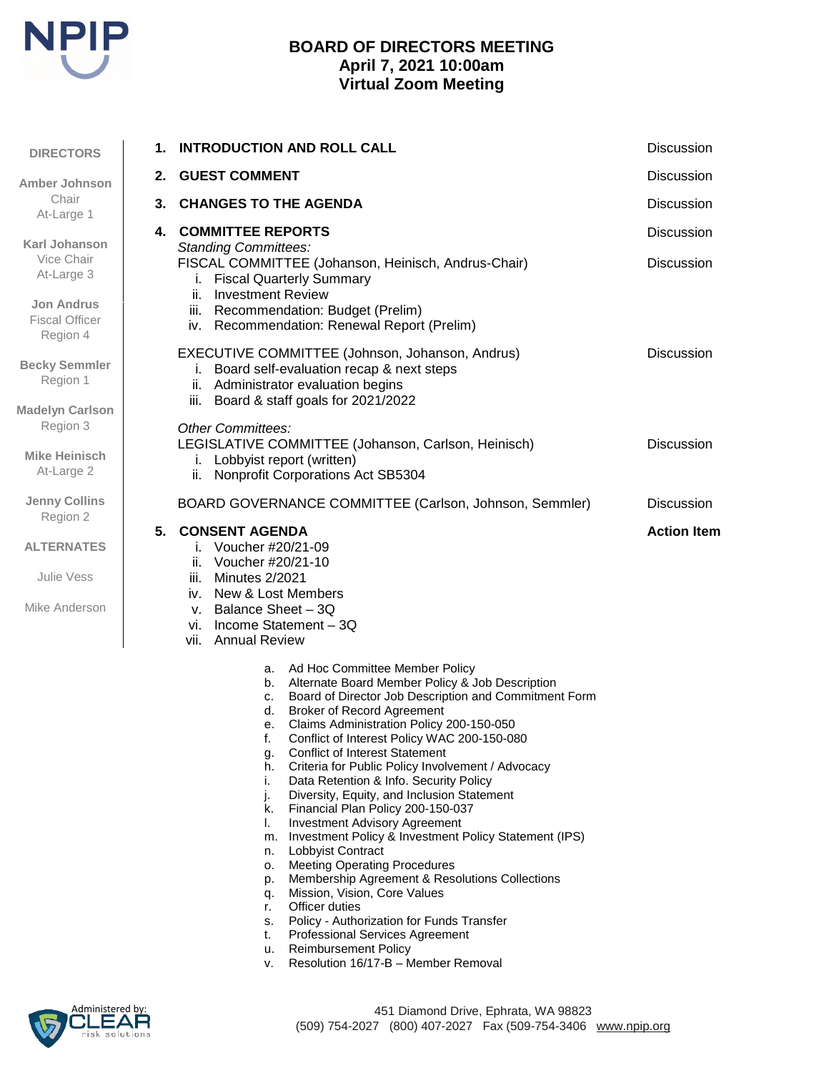

# **BOARD OF DIRECTORS MEETING April 7, 2021 10:00am Virtual Zoom Meeting**

| <b>DIRECTORS</b>                                             | 1. | <b>INTRODUCTION AND ROLL CALL</b>                                                                                                                                                                                                                                                                                                                                                                                                                                                                                                                                                                                                                                                                                                                                                                                                                                                                                                                                                                                           | <b>Discussion</b>  |
|--------------------------------------------------------------|----|-----------------------------------------------------------------------------------------------------------------------------------------------------------------------------------------------------------------------------------------------------------------------------------------------------------------------------------------------------------------------------------------------------------------------------------------------------------------------------------------------------------------------------------------------------------------------------------------------------------------------------------------------------------------------------------------------------------------------------------------------------------------------------------------------------------------------------------------------------------------------------------------------------------------------------------------------------------------------------------------------------------------------------|--------------------|
| <b>Amber Johnson</b><br>Chair<br>At-Large 1<br>Karl Johanson |    | 2. GUEST COMMENT                                                                                                                                                                                                                                                                                                                                                                                                                                                                                                                                                                                                                                                                                                                                                                                                                                                                                                                                                                                                            | <b>Discussion</b>  |
|                                                              |    | 3. CHANGES TO THE AGENDA                                                                                                                                                                                                                                                                                                                                                                                                                                                                                                                                                                                                                                                                                                                                                                                                                                                                                                                                                                                                    | <b>Discussion</b>  |
|                                                              |    | <b>4. COMMITTEE REPORTS</b>                                                                                                                                                                                                                                                                                                                                                                                                                                                                                                                                                                                                                                                                                                                                                                                                                                                                                                                                                                                                 | Discussion         |
| Vice Chair<br>At-Large 3                                     |    | <b>Standing Committees:</b><br>FISCAL COMMITTEE (Johanson, Heinisch, Andrus-Chair)<br><b>Fiscal Quarterly Summary</b><br>Ĺ.<br><b>Investment Review</b><br>ii.<br>iii. Recommendation: Budget (Prelim)<br>iv. Recommendation: Renewal Report (Prelim)                                                                                                                                                                                                                                                                                                                                                                                                                                                                                                                                                                                                                                                                                                                                                                       | Discussion         |
| <b>Jon Andrus</b><br><b>Fiscal Officer</b><br>Region 4       |    |                                                                                                                                                                                                                                                                                                                                                                                                                                                                                                                                                                                                                                                                                                                                                                                                                                                                                                                                                                                                                             |                    |
| <b>Becky Semmler</b><br>Region 1                             |    | EXECUTIVE COMMITTEE (Johnson, Johanson, Andrus)<br>i. Board self-evaluation recap & next steps<br>ii. Administrator evaluation begins                                                                                                                                                                                                                                                                                                                                                                                                                                                                                                                                                                                                                                                                                                                                                                                                                                                                                       | Discussion         |
| <b>Madelyn Carlson</b><br>Region 3                           |    | iii. Board & staff goals for 2021/2022<br><b>Other Committees:</b>                                                                                                                                                                                                                                                                                                                                                                                                                                                                                                                                                                                                                                                                                                                                                                                                                                                                                                                                                          |                    |
| Mike Heinisch<br>At-Large 2                                  |    | LEGISLATIVE COMMITTEE (Johanson, Carlson, Heinisch)<br>i. Lobbyist report (written)<br>Nonprofit Corporations Act SB5304<br>ii.                                                                                                                                                                                                                                                                                                                                                                                                                                                                                                                                                                                                                                                                                                                                                                                                                                                                                             | <b>Discussion</b>  |
| <b>Jenny Collins</b><br>Region 2                             |    | BOARD GOVERNANCE COMMITTEE (Carlson, Johnson, Semmler)                                                                                                                                                                                                                                                                                                                                                                                                                                                                                                                                                                                                                                                                                                                                                                                                                                                                                                                                                                      | <b>Discussion</b>  |
| <b>ALTERNATES</b>                                            |    | 5. CONSENT AGENDA<br>i. Voucher #20/21-09<br>Voucher #20/21-10<br>ii.                                                                                                                                                                                                                                                                                                                                                                                                                                                                                                                                                                                                                                                                                                                                                                                                                                                                                                                                                       | <b>Action Item</b> |
| Julie Vess                                                   |    | iii. Minutes 2/2021<br>iv. New & Lost Members                                                                                                                                                                                                                                                                                                                                                                                                                                                                                                                                                                                                                                                                                                                                                                                                                                                                                                                                                                               |                    |
| Mike Anderson                                                |    | v. Balance Sheet $-3Q$<br>vi. Income Statement - 3Q<br>vii. Annual Review                                                                                                                                                                                                                                                                                                                                                                                                                                                                                                                                                                                                                                                                                                                                                                                                                                                                                                                                                   |                    |
|                                                              |    | a. Ad Hoc Committee Member Policy<br>b. Alternate Board Member Policy & Job Description<br>Board of Director Job Description and Commitment Form<br>C.<br>d. Broker of Record Agreement<br>Claims Administration Policy 200-150-050<br>е.<br>Conflict of Interest Policy WAC 200-150-080<br><b>Conflict of Interest Statement</b><br>g.<br>Criteria for Public Policy Involvement / Advocacy<br>h.<br>i.<br>Data Retention & Info. Security Policy<br>j.<br>Diversity, Equity, and Inclusion Statement<br>k. Financial Plan Policy 200-150-037<br><b>Investment Advisory Agreement</b><br>ı.<br>m. Investment Policy & Investment Policy Statement (IPS)<br>n. Lobbyist Contract<br><b>Meeting Operating Procedures</b><br>о.<br>Membership Agreement & Resolutions Collections<br>p.<br>Mission, Vision, Core Values<br>q.<br>Officer duties<br>r.<br>s. Policy - Authorization for Funds Transfer<br><b>Professional Services Agreement</b><br>t.<br>u. Reimbursement Policy<br>Resolution 16/17-B - Member Removal<br>٧. |                    |